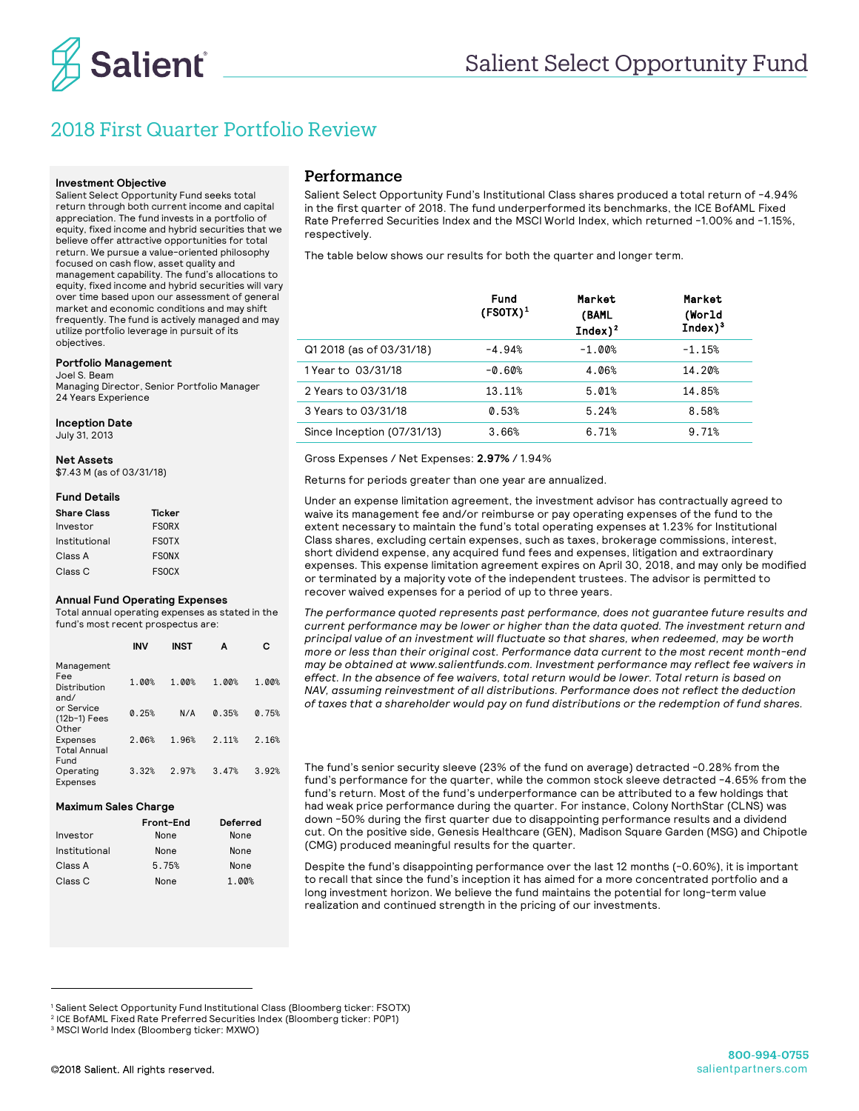

# 2018 First Quarter Portfolio Review

#### **Investment Objective**

Salient Select Opportunity Fund seeks total return through both current income and capital appreciation. The fund invests in a portfolio of equity, fixed income and hybrid securities that we believe offer attractive opportunities for total return. We pursue a value-oriented philosophy focused on cash flow, asset quality and management capability. The fund's allocations to equity, fixed income and hybrid securities will vary over time based upon our assessment of general market and economic conditions and may shift frequently. The fund is actively managed and may utilize portfolio leverage in pursuit of its objectives.

#### **Portfolio Management**

Joel S. Beam Managing Director, Senior Portfolio Manager 24 Years Experience

**Inception Date**  July 31, 2013

**Net Assets**

\$7.43 M (as of 03/31/18)

### **Fund Details**

| <b>Share Class</b> | Ticker       |
|--------------------|--------------|
| Investor           | <b>FSORX</b> |
| Institutional      | <b>FSOTX</b> |
| Class A            | <b>FSONX</b> |
| Class C            | <b>FSOCX</b> |

#### **Annual Fund Operating Expenses**

Total annual operating expenses as stated in the fund's most recent prospectus are:

|                                                | <b>INV</b> | INST  | А     | с     |
|------------------------------------------------|------------|-------|-------|-------|
| Management<br>Fee<br>Distribution<br>and/      | 1.00%      | 1.00% | 1.00% | 1.00% |
| or Service<br>(12b-1) Fees<br>Other            | 0.25%      | N/A   | 0.35% | 0.75% |
| <b>Expenses</b><br><b>Total Annual</b><br>Fund | 2.06%      | 1.96% | 2.11% | 2.16% |
| Operating<br>Expenses                          | 3.32%      | 2.97% | 3.47% | 3.92% |

#### **Maximum Sales Charge**

|               | Front-End | Deferred |
|---------------|-----------|----------|
| Investor      | None      | None     |
| Institutional | None      | None     |
| Class A       | 5.75%     | None     |
| Class C       | None      | 1.00%    |

### Performance

Salient Select Opportunity Fund's Institutional Class shares produced a total return of -4.94% in the first quarter of 2018. The fund underperformed its benchmarks, the ICE BofAML Fixed Rate Preferred Securities Index and the MSCI World Index, which returned -1.00% and -1.15%, respectively.

The table below shows our results for both the quarter and longer term.

|                            | Fund<br>$(FSOTX)^1$ | Market<br>(BAML<br>$Index)^2$ | Market<br>(World<br>$Index)^3$ |
|----------------------------|---------------------|-------------------------------|--------------------------------|
| Q1 2018 (as of 03/31/18)   | $-4.94%$            | $-1.00%$                      | $-1.15%$                       |
| 1 Year to 03/31/18         | $-0.60%$            | 4.06%                         | 14.20%                         |
| 2 Years to 03/31/18        | 13.11%              | 5.01%                         | 14.85%                         |
| 3 Years to 03/31/18        | 0.53%               | 5.24%                         | 8.58%                          |
| Since Inception (07/31/13) | 3.66%               | 6.71%                         | 9.71%                          |

Gross Expenses / Net Expenses: **2.97%** / 1.94%

Returns for periods greater than one year are annualized.

Under an expense limitation agreement, the investment advisor has contractually agreed to waive its management fee and/or reimburse or pay operating expenses of the fund to the extent necessary to maintain the fund's total operating expenses at 1.23% for Institutional Class shares, excluding certain expenses, such as taxes, brokerage commissions, interest, short dividend expense, any acquired fund fees and expenses, litigation and extraordinary expenses. This expense limitation agreement expires on April 30, 2018, and may only be modified or terminated by a majority vote of the independent trustees. The advisor is permitted to recover waived expenses for a period of up to three years.

*The performance quoted represents past performance, does not guarantee future results and current performance may be lower or higher than the data quoted. The investment return and principal value of an investment will fluctuate so that shares, when redeemed, may be worth more or less than their original cost. Performance data current to the most recent month-end may be obtained at www.salientfunds.com. Investment performance may reflect fee waivers in effect. In the absence of fee waivers, total return would be lower. Total return is based on NAV, assuming reinvestment of all distributions. Performance does not reflect the deduction of taxes that a shareholder would pay on fund distributions or the redemption of fund shares.*

The fund's senior security sleeve (23% of the fund on average) detracted -0.28% from the fund's performance for the quarter, while the common stock sleeve detracted -4.65% from the fund's return. Most of the fund's underperformance can be attributed to a few holdings that had weak price performance during the quarter. For instance, Colony NorthStar (CLNS) was down -50% during the first quarter due to disappointing performance results and a dividend cut. On the positive side, Genesis Healthcare (GEN), Madison Square Garden (MSG) and Chipotle (CMG) produced meaningful results for the quarter.

Despite the fund's disappointing performance over the last 12 months (-0.60%), it is important to recall that since the fund's inception it has aimed for a more concentrated portfolio and a long investment horizon. We believe the fund maintains the potential for long-term value realization and continued strength in the pricing of our investments.

-

<sup>1</sup> Salient Select Opportunity Fund Institutional Class (Bloomberg ticker: FSOTX)

<sup>2</sup> ICE BofAML Fixed Rate Preferred Securities Index (Bloomberg ticker: P0P1)

<sup>3</sup> MSCI World Index (Bloomberg ticker: MXWO)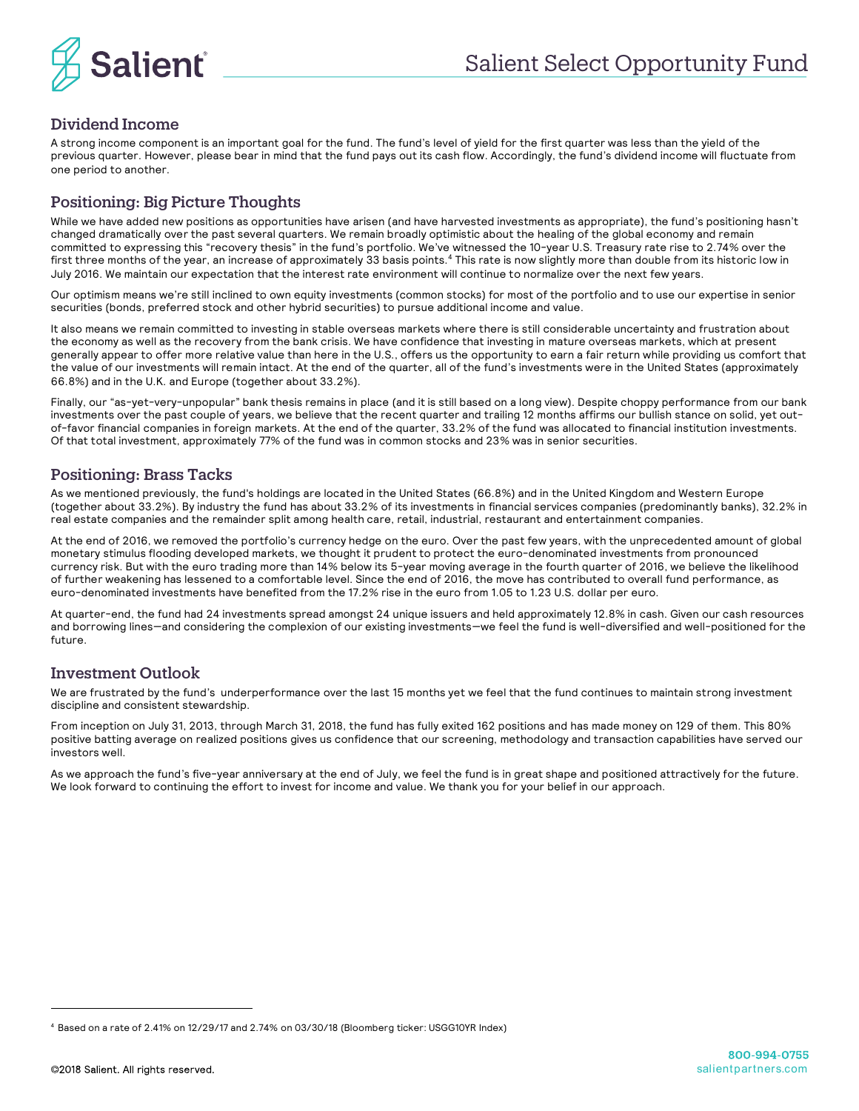

# Dividend Income

A strong income component is an important goal for the fund. The fund's level of yield for the first quarter was less than the yield of the previous quarter. However, please bear in mind that the fund pays out its cash flow. Accordingly, the fund's dividend income will fluctuate from one period to another.

## Positioning: Big Picture Thoughts

While we have added new positions as opportunities have arisen (and have harvested investments as appropriate), the fund's positioning hasn't changed dramatically over the past several quarters. We remain broadly optimistic about the healing of the global economy and remain committed to expressing this "recovery thesis" in the fund's portfolio. We've witnessed the 10-year U.S. Treasury rate rise to 2.74% over the first three months of the year, an increase of approximately 33 basis points.<sup>4</sup> This rate is now slightly more than double from its historic low in July 2016. We maintain our expectation that the interest rate environment will continue to normalize over the next few years.

Our optimism means we're still inclined to own equity investments (common stocks) for most of the portfolio and to use our expertise in senior securities (bonds, preferred stock and other hybrid securities) to pursue additional income and value.

It also means we remain committed to investing in stable overseas markets where there is still considerable uncertainty and frustration about the economy as well as the recovery from the bank crisis. We have confidence that investing in mature overseas markets, which at present generally appear to offer more relative value than here in the U.S., offers us the opportunity to earn a fair return while providing us comfort that the value of our investments will remain intact. At the end of the quarter, all of the fund's investments were in the United States (approximately 66.8%) and in the U.K. and Europe (together about 33.2%).

Finally, our "as-yet-very-unpopular" bank thesis remains in place (and it is still based on a long view). Despite choppy performance from our bank investments over the past couple of years, we believe that the recent quarter and trailing 12 months affirms our bullish stance on solid, yet outof-favor financial companies in foreign markets. At the end of the quarter, 33.2% of the fund was allocated to financial institution investments. Of that total investment, approximately 77% of the fund was in common stocks and 23% was in senior securities.

## Positioning: Brass Tacks

As we mentioned previously, the fund's holdings are located in the United States (66.8%) and in the United Kingdom and Western Europe (together about 33.2%). By industry the fund has about 33.2% of its investments in financial services companies (predominantly banks), 32.2% in real estate companies and the remainder split among health care, retail, industrial, restaurant and entertainment companies.

At the end of 2016, we removed the portfolio's currency hedge on the euro. Over the past few years, with the unprecedented amount of global monetary stimulus flooding developed markets, we thought it prudent to protect the euro-denominated investments from pronounced currency risk. But with the euro trading more than 14% below its 5-year moving average in the fourth quarter of 2016, we believe the likelihood of further weakening has lessened to a comfortable level. Since the end of 2016, the move has contributed to overall fund performance, as euro-denominated investments have benefited from the 17.2% rise in the euro from 1.05 to 1.23 U.S. dollar per euro.

At quarter-end, the fund had 24 investments spread amongst 24 unique issuers and held approximately 12.8% in cash. Given our cash resources and borrowing lines—and considering the complexion of our existing investments—we feel the fund is well-diversified and well-positioned for the future.

### Investment Outlook

We are frustrated by the fund's underperformance over the last 15 months yet we feel that the fund continues to maintain strong investment discipline and consistent stewardship.

From inception on July 31, 2013, through March 31, 2018, the fund has fully exited 162 positions and has made money on 129 of them. This 80% positive batting average on realized positions gives us confidence that our screening, methodology and transaction capabilities have served our investors well.

As we approach the fund's five-year anniversary at the end of July, we feel the fund is in great shape and positioned attractively for the future. We look forward to continuing the effort to invest for income and value. We thank you for your belief in our approach.

-

<sup>4</sup> Based on a rate of 2.41% on 12/29/17 and 2.74% on 03/30/18 (Bloomberg ticker: USGG10YR Index)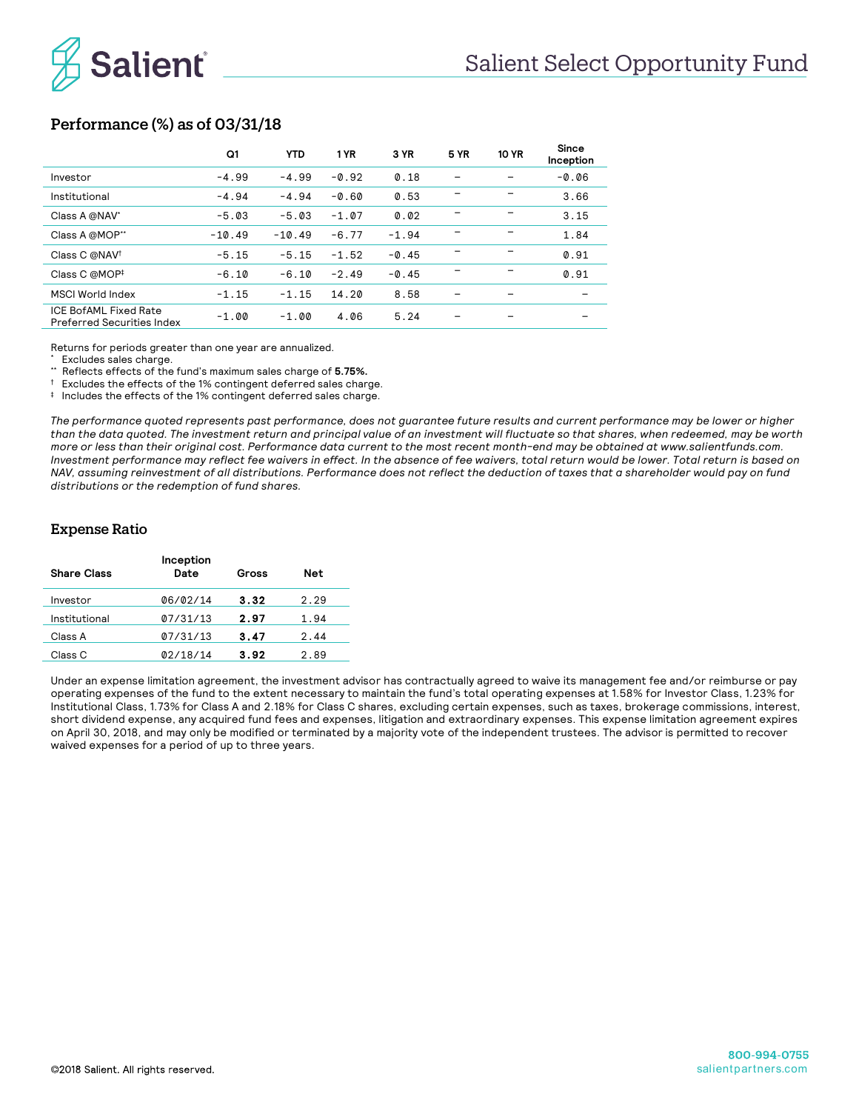

# Performance (%) as of 03/31/18

|                                                            | Q1       | <b>YTD</b> | 1 YR    | 3 YR    | <b>5 YR</b> | <b>10 YR</b> | Since<br>Inception |
|------------------------------------------------------------|----------|------------|---------|---------|-------------|--------------|--------------------|
| Investor                                                   | $-4.99$  | $-4.99$    | $-0.92$ | 0.18    |             |              | $-0.06$            |
| Institutional                                              | $-4.94$  | $-4.94$    | $-0.60$ | 0.53    |             |              | 3.66               |
| Class A @NAV*                                              | $-5.03$  | $-5.03$    | $-1.07$ | 0.02    |             |              | 3.15               |
| Class A @MOP**                                             | $-10.49$ | $-10.49$   | $-6.77$ | $-1.94$ |             |              | 1.84               |
| Class C @NAV <sup>†</sup>                                  | $-5.15$  | $-5.15$    | $-1.52$ | $-0.45$ |             |              | 0.91               |
| Class C @MOP <sup>‡</sup>                                  | $-6.10$  | $-6.10$    | $-2.49$ | $-0.45$ |             |              | 0.91               |
| MSCI World Index                                           | $-1.15$  | $-1.15$    | 14.20   | 8.58    |             |              |                    |
| ICE BofAML Fixed Rate<br><b>Preferred Securities Index</b> | $-1.00$  | $-1.00$    | 4.06    | 5.24    |             |              |                    |

Returns for periods greater than one year are annualized.

\* Excludes sales charge.

Reflects effects of the fund's maximum sales charge of **5.75%.** 

† Excludes the effects of the 1% contingent deferred sales charge.

‡ Includes the effects of the 1% contingent deferred sales charge.

*The performance quoted represents past performance, does not guarantee future results and current performance may be lower or higher than the data quoted. The investment return and principal value of an investment will fluctuate so that shares, when redeemed, may be worth more or less than their original cost. Performance data current to the most recent month-end may be obtained at www.salientfunds.com. Investment performance may reflect fee waivers in effect. In the absence of fee waivers, total return would be lower. Total return is based on NAV, assuming reinvestment of all distributions. Performance does not reflect the deduction of taxes that a shareholder would pay on fund distributions or the redemption of fund shares.*

### Expense Ratio

| <b>Share Class</b> | Inception<br>Date | Gross | <b>Net</b> |
|--------------------|-------------------|-------|------------|
| Investor           | 06/02/14          | 3.32  | 2.29       |
| Institutional      | 07/31/13          | 2.97  | 1.94       |
| Class A            | 07/31/13          | 3.47  | 2.44       |
| Class C            | 02/18/14          | 3.92  | 2.89       |
|                    |                   |       |            |

Under an expense limitation agreement, the investment advisor has contractually agreed to waive its management fee and/or reimburse or pay operating expenses of the fund to the extent necessary to maintain the fund's total operating expenses at 1.58% for Investor Class, 1.23% for Institutional Class, 1.73% for Class A and 2.18% for Class C shares, excluding certain expenses, such as taxes, brokerage commissions, interest, short dividend expense, any acquired fund fees and expenses, litigation and extraordinary expenses. This expense limitation agreement expires on April 30, 2018, and may only be modified or terminated by a majority vote of the independent trustees. The advisor is permitted to recover waived expenses for a period of up to three years.